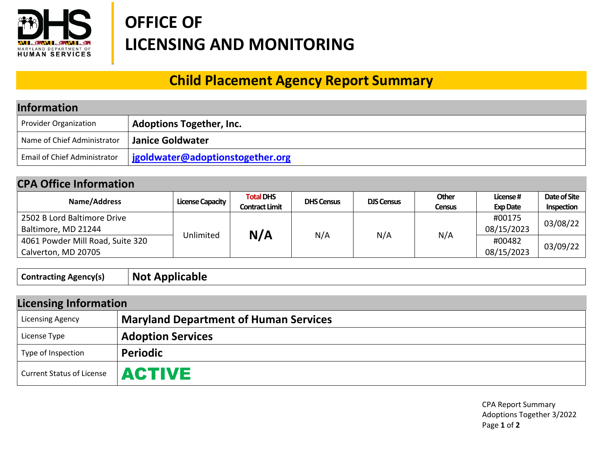

## **OFFICE OF LICENSING AND MONITORING**

## **Child Placement Agency Report Summary**

| <b>Information</b>           |                                  |  |  |
|------------------------------|----------------------------------|--|--|
| Provider Organization        | <b>Adoptions Together, Inc.</b>  |  |  |
| Name of Chief Administrator  | <b>Janice Goldwater</b>          |  |  |
| Email of Chief Administrator | jgoldwater@adoptionstogether.org |  |  |

## **CPA Office Information**

| Name/Address                                            | <b>License Capacity</b> | <b>Total DHS</b><br><b>Contract Limit</b> | <b>DHS Census</b> | <b>DJS Census</b> | Other<br><b>Census</b> | License#<br><b>Exp Date</b> | Date of Site<br>Inspection |
|---------------------------------------------------------|-------------------------|-------------------------------------------|-------------------|-------------------|------------------------|-----------------------------|----------------------------|
| 2502 B Lord Baltimore Drive<br>Baltimore, MD 21244      |                         | N/A                                       | N/A               | N/A               | N/A                    | #00175<br>08/15/2023        | 03/08/22                   |
| 4061 Powder Mill Road, Suite 320<br>Calverton, MD 20705 | Unlimited               |                                           |                   |                   |                        | #00482<br>08/15/2023        | 03/09/22                   |

**Contracting Agency(s) Not Applicable**

| <b>Licensing Information</b>     |                                              |  |  |
|----------------------------------|----------------------------------------------|--|--|
| <b>Licensing Agency</b>          | <b>Maryland Department of Human Services</b> |  |  |
| License Type                     | <b>Adoption Services</b>                     |  |  |
| Type of Inspection               | <b>Periodic</b>                              |  |  |
| <b>Current Status of License</b> | <b>ACTIVE</b>                                |  |  |